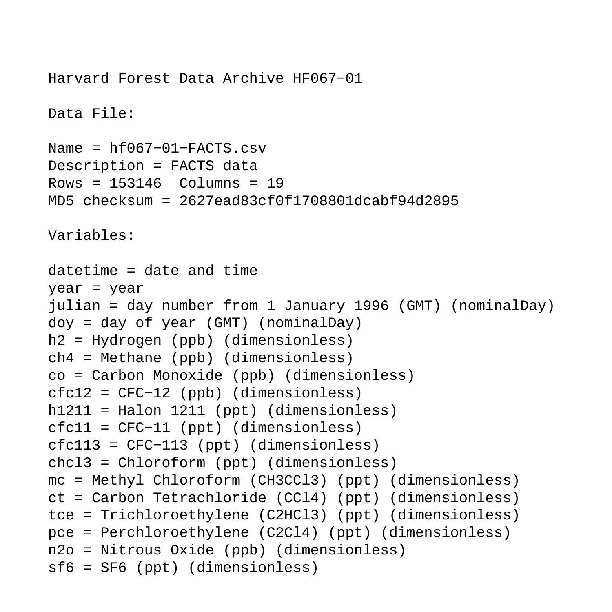```
Harvard Forest Data Archive HF067−01
Data File:
Name = hf067−01−FACTS.csv
Description = FACTS data 
Rows = 153146 Columns = 19
MD5 checksum = 2627ead83cf0f1708801dcabf94d2895
Variables:
datetime = date and time 
year = year 
julian = day number from 1 January 1996 (GMT) (nominalDay) 
doy = day of year (GMT) (nominalDay) 
h2 = Hydrogen (ppb) (dimensionless) 
ch4 = Methane (ppb) (dimensionless) 
co = Carbon Monoxide (ppb) (dimensionless) 
cfc12 = CFC−12 (ppb) (dimensionless) 
h1211 = Halon 1211 (ppt) (dimensionless) 
cfc11 = CFC−11 (ppt) (dimensionless) 
cfc113 = CFC−113 (ppt) (dimensionless) 
chcl3 = Chloroform (ppt) (dimensionless) 
mc = Methyl Chloroform (CH3CCl3) (ppt) (dimensionless) 
ct = Carbon Tetrachloride (CCl4) (ppt) (dimensionless) 
tce = Trichloroethylene (C2HCl3) (ppt) (dimensionless) 
pce = Perchloroethylene (C2Cl4) (ppt) (dimensionless) 
n2o = Nitrous Oxide (ppb) (dimensionless) 
sf6 = SF6 (ppt) (dimensionless)
```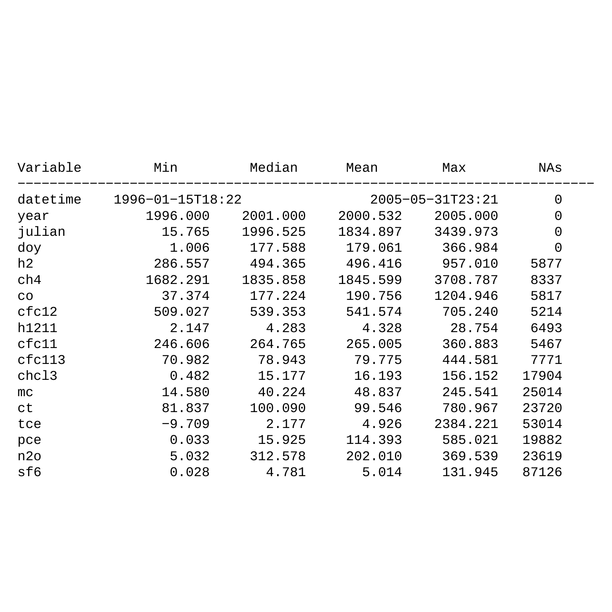| Variable | Min              | Median   | Mean             | Max      | NAs   |  |
|----------|------------------|----------|------------------|----------|-------|--|
| datetime | 1996-01-15T18:22 |          | 2005-05-31T23:21 |          | 0     |  |
| year     | 1996.000         | 2001.000 | 2000.532         | 2005.000 | 0     |  |
| julian   | 15.765           | 1996.525 | 1834.897         | 3439.973 | 0     |  |
| doy      | 1.006            | 177.588  | 179.061          | 366.984  | 0     |  |
| h2       | 286.557          | 494.365  | 496.416          | 957.010  | 5877  |  |
| ch4      | 1682.291         | 1835.858 | 1845.599         | 3708.787 | 8337  |  |
| CO       | 37.374           | 177.224  | 190.756          | 1204.946 | 5817  |  |
| cfc12    | 509.027          | 539.353  | 541.574          | 705.240  | 5214  |  |
| h1211    | 2.147            | 4.283    | 4.328            | 28.754   | 6493  |  |
| cfc11    | 246.606          | 264.765  | 265.005          | 360.883  | 5467  |  |
| cfc113   | 70.982           | 78.943   | 79.775           | 444.581  | 7771  |  |
| chc13    | 0.482            | 15.177   | 16.193           | 156.152  | 17904 |  |
| mc       | 14.580           | 40.224   | 48.837           | 245.541  | 25014 |  |
| ct       | 81.837           | 100.090  | 99.546           | 780.967  | 23720 |  |
| tce      | $-9.709$         | 2.177    | 4.926            | 2384.221 | 53014 |  |
| pce      | 0.033            | 15.925   | 114.393          | 585.021  | 19882 |  |
| n2o      | 5.032            | 312.578  | 202.010          | 369.539  | 23619 |  |
| sf6      | 0.028            | 4.781    | 5.014            | 131.945  | 87126 |  |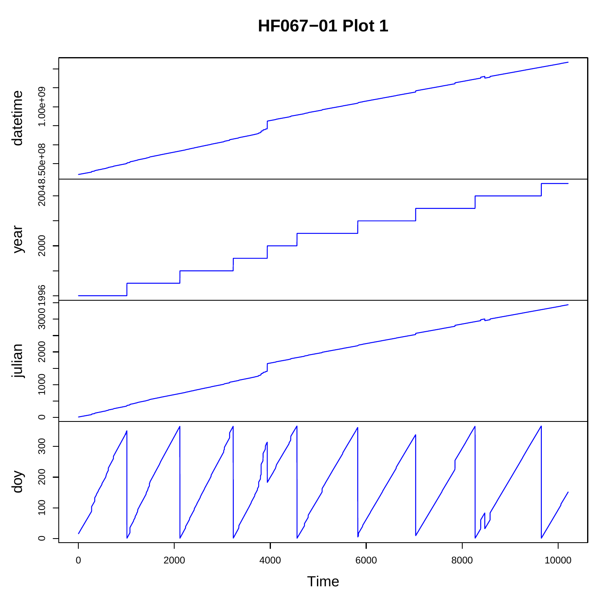**HF067-01 Plot 1** 

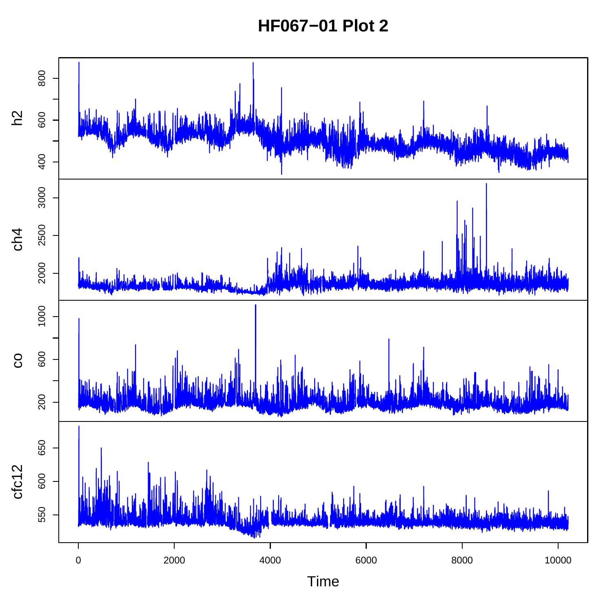**HF067-01 Plot 2** 

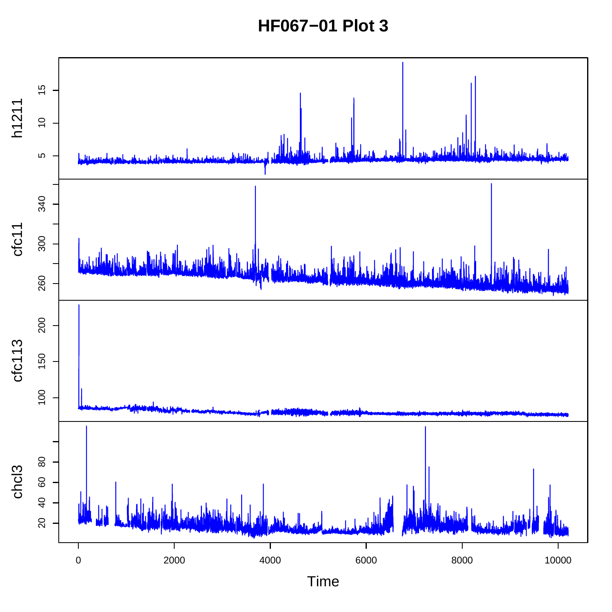**HF067−01 Plot 3**

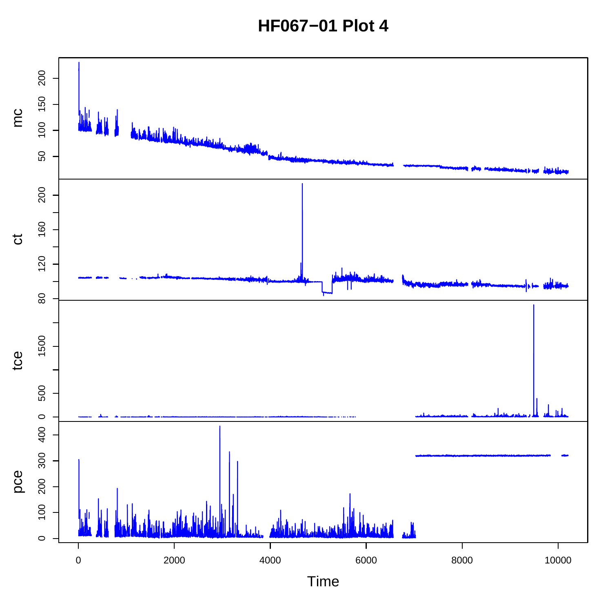**HF067−01 Plot 4**